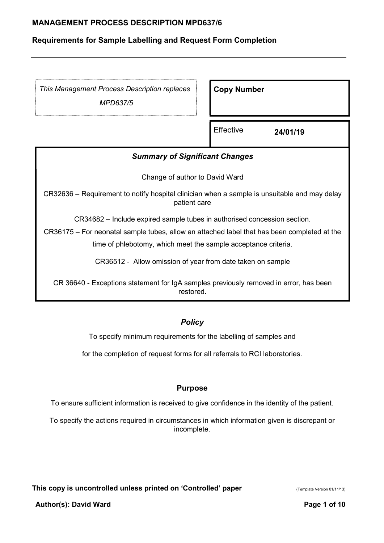## Requirements for Sample Labelling and Request Form Completion

This Management Process Description replaces

MPD637/5

Copy Number

**Effective 24/01/19** 

# Summary of Significant Changes

Change of author to David Ward

CR32636 – Requirement to notify hospital clinician when a sample is unsuitable and may delay patient care

CR34682 – Include expired sample tubes in authorised concession section.

CR36175 – For neonatal sample tubes, allow an attached label that has been completed at the time of phlebotomy, which meet the sample acceptance criteria.

CR36512 - Allow omission of year from date taken on sample

CR 36640 - Exceptions statement for IgA samples previously removed in error, has been restored.

## **Policy**

To specify minimum requirements for the labelling of samples and

for the completion of request forms for all referrals to RCI laboratories.

#### Purpose

To ensure sufficient information is received to give confidence in the identity of the patient.

To specify the actions required in circumstances in which information given is discrepant or incomplete.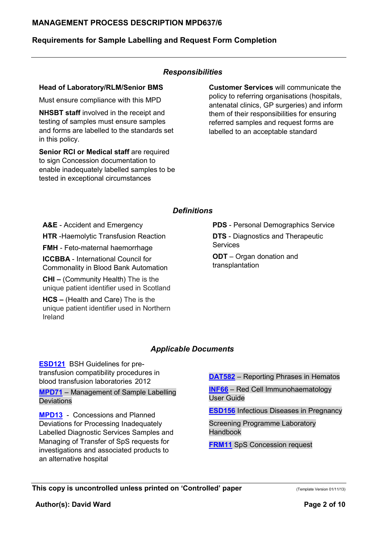## Requirements for Sample Labelling and Request Form Completion

#### Responsibilities

#### Head of Laboratory/RLM/Senior BMS

Must ensure compliance with this MPD

NHSBT staff involved in the receipt and testing of samples must ensure samples and forms are labelled to the standards set in this policy.

Senior RCI or Medical staff are required to sign Concession documentation to enable inadequately labelled samples to be tested in exceptional circumstances

Customer Services will communicate the policy to referring organisations (hospitals, antenatal clinics, GP surgeries) and inform them of their responsibilities for ensuring referred samples and request forms are labelled to an acceptable standard

#### **Definitions**

A&E - Accident and Emergency

**HTR** -Haemolytic Transfusion Reaction

FMH - Feto-maternal haemorrhage

ICCBBA - International Council for Commonality in Blood Bank Automation

CHI – (Community Health) The is the unique patient identifier used in Scotland

HCS – (Health and Care) The is the unique patient identifier used in Northern Ireland

PDS - Personal Demographics Service

**DTS** - Diagnostics and Therapeutic **Services** 

ODT – Organ donation and transplantation

#### Applicable Documents

ESD121 BSH Guidelines for pretransfusion compatibility procedures in blood transfusion laboratories 2012

MPD71 – Management of Sample Labelling Deviations

MPD13 - Concessions and Planned Deviations for Processing Inadequately Labelled Diagnostic Services Samples and Managing of Transfer of SpS requests for investigations and associated products to an alternative hospital

DAT582 – Reporting Phrases in Hematos

INF66 – Red Cell Immunohaematology User Guide

ESD156 Infectious Diseases in Pregnancy

Screening Programme Laboratory Handbook

FRM11 SpS Concession request

This copy is uncontrolled unless printed on 'Controlled' paper (Template Version 01/11/13)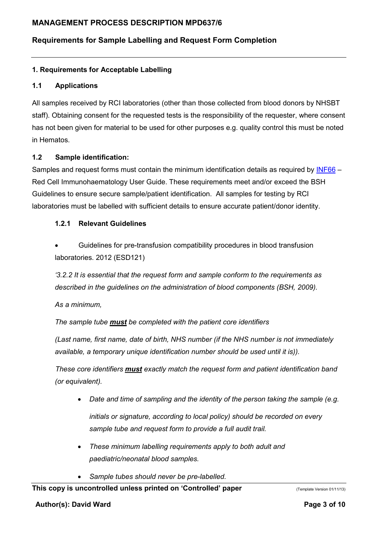# Requirements for Sample Labelling and Request Form Completion

### 1. Requirements for Acceptable Labelling

#### 1.1 Applications

All samples received by RCI laboratories (other than those collected from blood donors by NHSBT staff). Obtaining consent for the requested tests is the responsibility of the requester, where consent has not been given for material to be used for other purposes e.g. quality control this must be noted in Hematos.

#### 1.2 Sample identification:

Samples and request forms must contain the minimum identification details as required by INF66 – Red Cell Immunohaematology User Guide. These requirements meet and/or exceed the BSH Guidelines to ensure secure sample/patient identification. All samples for testing by RCI laboratories must be labelled with sufficient details to ensure accurate patient/donor identity.

#### 1.2.1 Relevant Guidelines

 Guidelines for pre-transfusion compatibility procedures in blood transfusion laboratories. 2012 (ESD121)

'3.2.2 It is essential that the request form and sample conform to the requirements as described in the guidelines on the administration of blood components (BSH, 2009).

As a minimum,

The sample tube must be completed with the patient core identifiers

(Last name, first name, date of birth, NHS number (if the NHS number is not immediately available, a temporary unique identification number should be used until it is)).

These core identifiers must exactly match the request form and patient identification band (or equivalent).

- Date and time of sampling and the identity of the person taking the sample (e.g. initials or signature, according to local policy) should be recorded on every sample tube and request form to provide a full audit trail.
- These minimum labelling requirements apply to both adult and paediatric/neonatal blood samples.
- Sample tubes should never be pre-labelled.

#### This copy is uncontrolled unless printed on 'Controlled' paper (Template Version 01/11/13)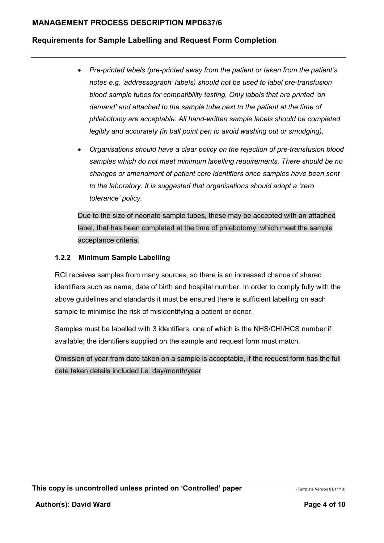## Requirements for Sample Labelling and Request Form Completion

- Pre-printed labels (pre-printed away from the patient or taken from the patient's notes e.g. 'addressograph' labels) should not be used to label pre-transfusion blood sample tubes for compatibility testing. Only labels that are printed 'on demand' and attached to the sample tube next to the patient at the time of phlebotomy are acceptable. All hand-written sample labels should be completed legibly and accurately (in ball point pen to avoid washing out or smudging).
- Organisations should have a clear policy on the rejection of pre-transfusion blood samples which do not meet minimum labelling requirements. There should be no changes or amendment of patient core identifiers once samples have been sent to the laboratory. It is suggested that organisations should adopt a 'zero tolerance' policy.

Due to the size of neonate sample tubes, these may be accepted with an attached label, that has been completed at the time of phlebotomy, which meet the sample acceptance criteria.

#### 1.2.2 Minimum Sample Labelling

RCI receives samples from many sources, so there is an increased chance of shared identifiers such as name, date of birth and hospital number. In order to comply fully with the above guidelines and standards it must be ensured there is sufficient labelling on each sample to minimise the risk of misidentifying a patient or donor.

Samples must be labelled with 3 identifiers, one of which is the NHS/CHI/HCS number if available; the identifiers supplied on the sample and request form must match.

Omission of year from date taken on a sample is acceptable, if the request form has the full date taken details included i.e. day/month/year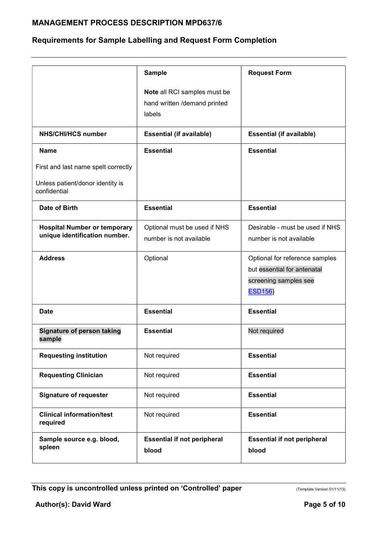# Requirements for Sample Labelling and Request Form Completion

|                                                                      | <b>Sample</b>                                                          | <b>Request Form</b>                                                                                      |
|----------------------------------------------------------------------|------------------------------------------------------------------------|----------------------------------------------------------------------------------------------------------|
|                                                                      | Note all RCI samples must be<br>hand written /demand printed<br>labels |                                                                                                          |
| <b>NHS/CHI/HCS number</b>                                            | <b>Essential (if available)</b>                                        | <b>Essential (if available)</b>                                                                          |
| <b>Name</b>                                                          | <b>Essential</b>                                                       | <b>Essential</b>                                                                                         |
| First and last name spelt correctly                                  |                                                                        |                                                                                                          |
| Unless patient/donor identity is<br>confidential                     |                                                                        |                                                                                                          |
| Date of Birth                                                        | <b>Essential</b>                                                       | <b>Essential</b>                                                                                         |
| <b>Hospital Number or temporary</b><br>unique identification number. | Optional must be used if NHS<br>number is not available                | Desirable - must be used if NHS<br>number is not available                                               |
| <b>Address</b>                                                       | Optional                                                               | Optional for reference samples<br>but essential for antenatal<br>screening samples see<br><b>ESD156)</b> |
| Date                                                                 | <b>Essential</b>                                                       | <b>Essential</b>                                                                                         |
| Signature of person taking<br>sample                                 | <b>Essential</b>                                                       | Not required                                                                                             |
| <b>Requesting institution</b>                                        | Not required                                                           | <b>Essential</b>                                                                                         |
| <b>Requesting Clinician</b>                                          | Not required                                                           | <b>Essential</b>                                                                                         |
| <b>Signature of requester</b>                                        | Not required                                                           | <b>Essential</b>                                                                                         |
| <b>Clinical information/test</b><br>required                         | Not required                                                           | <b>Essential</b>                                                                                         |
| Sample source e.g. blood,<br>spleen                                  | <b>Essential if not peripheral</b><br>blood                            | <b>Essential if not peripheral</b><br>blood                                                              |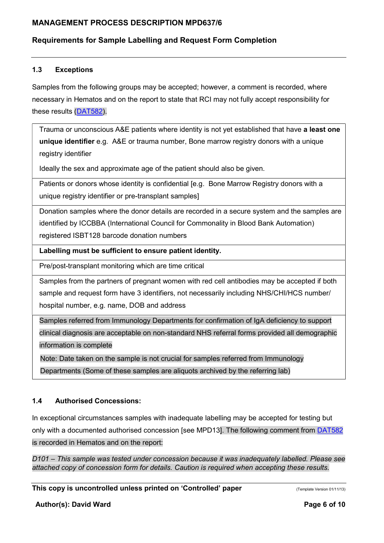# Requirements for Sample Labelling and Request Form Completion

#### 1.3 Exceptions

Samples from the following groups may be accepted; however, a comment is recorded, where necessary in Hematos and on the report to state that RCI may not fully accept responsibility for these results (DAT582).

Trauma or unconscious A&E patients where identity is not yet established that have a least one unique identifier e.g. A&E or trauma number, Bone marrow registry donors with a unique registry identifier

Ideally the sex and approximate age of the patient should also be given.

Patients or donors whose identity is confidential [e.g. Bone Marrow Registry donors with a unique registry identifier or pre-transplant samples]

Donation samples where the donor details are recorded in a secure system and the samples are identified by ICCBBA (International Council for Commonality in Blood Bank Automation) registered ISBT128 barcode donation numbers

Labelling must be sufficient to ensure patient identity.

Pre/post-transplant monitoring which are time critical

Samples from the partners of pregnant women with red cell antibodies may be accepted if both sample and request form have 3 identifiers, not necessarily including NHS/CHI/HCS number/ hospital number, e.g. name, DOB and address

Samples referred from Immunology Departments for confirmation of IgA deficiency to support clinical diagnosis are acceptable on non-standard NHS referral forms provided all demographic information is complete

Note: Date taken on the sample is not crucial for samples referred from Immunology Departments (Some of these samples are aliquots archived by the referring lab)

## 1.4 Authorised Concessions:

In exceptional circumstances samples with inadequate labelling may be accepted for testing but only with a documented authorised concession [see MPD13]. The following comment from DAT582 is recorded in Hematos and on the report:

D101 – This sample was tested under concession because it was inadequately labelled. Please see attached copy of concession form for details. Caution is required when accepting these results.

This copy is uncontrolled unless printed on 'Controlled' paper (Template Version 01/11/13)

Author(s): David Ward Page 6 of 10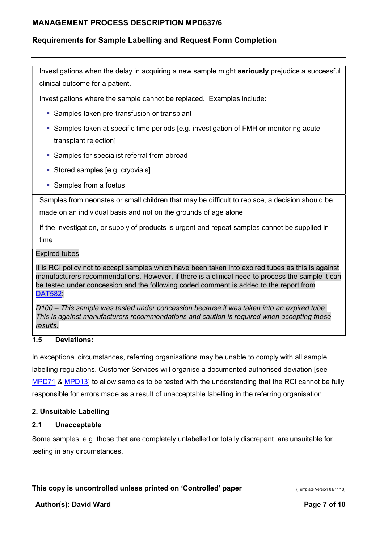# Requirements for Sample Labelling and Request Form Completion

Investigations when the delay in acquiring a new sample might seriously prejudice a successful clinical outcome for a patient.

Investigations where the sample cannot be replaced. Examples include:

- **Samples taken pre-transfusion or transplant**
- Samples taken at specific time periods [e.g. investigation of FMH or monitoring acute transplant rejection]
- **Samples for specialist referral from abroad**
- **Stored samples [e.g. cryovials]**
- **Samples from a foetus**

Samples from neonates or small children that may be difficult to replace, a decision should be made on an individual basis and not on the grounds of age alone

If the investigation, or supply of products is urgent and repeat samples cannot be supplied in time

#### Expired tubes

It is RCI policy not to accept samples which have been taken into expired tubes as this is against manufacturers recommendations. However, if there is a clinical need to process the sample it can be tested under concession and the following coded comment is added to the report from DAT582:

D100 – This sample was tested under concession because it was taken into an expired tube. This is against manufacturers recommendations and caution is required when accepting these results.

#### 1.5 Deviations:

In exceptional circumstances, referring organisations may be unable to comply with all sample labelling regulations. Customer Services will organise a documented authorised deviation [see MPD71 & MPD13] to allow samples to be tested with the understanding that the RCI cannot be fully responsible for errors made as a result of unacceptable labelling in the referring organisation.

#### 2. Unsuitable Labelling

## 2.1 Unacceptable

Some samples, e.g. those that are completely unlabelled or totally discrepant, are unsuitable for testing in any circumstances.

This copy is uncontrolled unless printed on 'Controlled' paper (Template Version 01/11/13)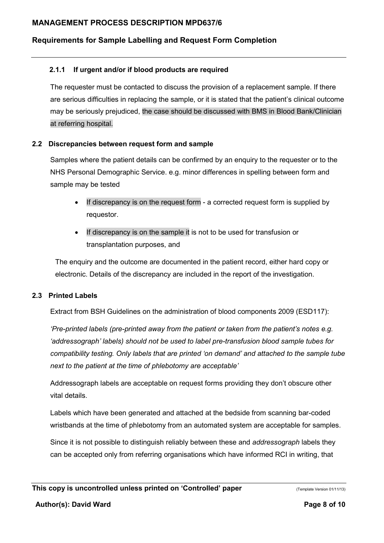# Requirements for Sample Labelling and Request Form Completion

### 2.1.1 If urgent and/or if blood products are required

The requester must be contacted to discuss the provision of a replacement sample. If there are serious difficulties in replacing the sample, or it is stated that the patient's clinical outcome may be seriously prejudiced, the case should be discussed with BMS in Blood Bank/Clinician at referring hospital.

#### 2.2 Discrepancies between request form and sample

Samples where the patient details can be confirmed by an enquiry to the requester or to the NHS Personal Demographic Service. e.g. minor differences in spelling between form and sample may be tested

- If discrepancy is on the request form a corrected request form is supplied by requestor.
- If discrepancy is on the sample it is not to be used for transfusion or transplantation purposes, and

The enquiry and the outcome are documented in the patient record, either hard copy or electronic. Details of the discrepancy are included in the report of the investigation.

#### 2.3 Printed Labels

Extract from BSH Guidelines on the administration of blood components 2009 (ESD117):

'Pre-printed labels (pre-printed away from the patient or taken from the patient's notes e.g. 'addressograph' labels) should not be used to label pre-transfusion blood sample tubes for compatibility testing. Only labels that are printed 'on demand' and attached to the sample tube next to the patient at the time of phlebotomy are acceptable'

Addressograph labels are acceptable on request forms providing they don't obscure other vital details.

Labels which have been generated and attached at the bedside from scanning bar-coded wristbands at the time of phlebotomy from an automated system are acceptable for samples.

Since it is not possible to distinguish reliably between these and *addressograph* labels they can be accepted only from referring organisations which have informed RCI in writing, that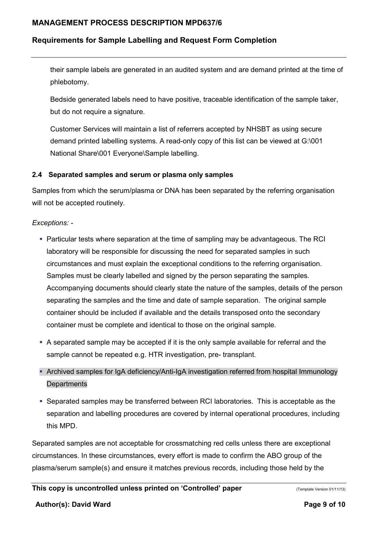## Requirements for Sample Labelling and Request Form Completion

their sample labels are generated in an audited system and are demand printed at the time of phlebotomy.

Bedside generated labels need to have positive, traceable identification of the sample taker, but do not require a signature.

Customer Services will maintain a list of referrers accepted by NHSBT as using secure demand printed labelling systems. A read-only copy of this list can be viewed at G:\001 National Share\001 Everyone\Sample labelling.

#### 2.4 Separated samples and serum or plasma only samples

Samples from which the serum/plasma or DNA has been separated by the referring organisation will not be accepted routinely.

### Exceptions: -

- Particular tests where separation at the time of sampling may be advantageous. The RCI laboratory will be responsible for discussing the need for separated samples in such circumstances and must explain the exceptional conditions to the referring organisation. Samples must be clearly labelled and signed by the person separating the samples. Accompanying documents should clearly state the nature of the samples, details of the person separating the samples and the time and date of sample separation. The original sample container should be included if available and the details transposed onto the secondary container must be complete and identical to those on the original sample.
- A separated sample may be accepted if it is the only sample available for referral and the sample cannot be repeated e.g. HTR investigation, pre- transplant.
- Archived samples for IgA deficiency/Anti-IgA investigation referred from hospital Immunology **Departments**
- Separated samples may be transferred between RCI laboratories. This is acceptable as the separation and labelling procedures are covered by internal operational procedures, including this MPD.

Separated samples are not acceptable for crossmatching red cells unless there are exceptional circumstances. In these circumstances, every effort is made to confirm the ABO group of the plasma/serum sample(s) and ensure it matches previous records, including those held by the

#### Author(s): David Ward **Page 9 of 10**